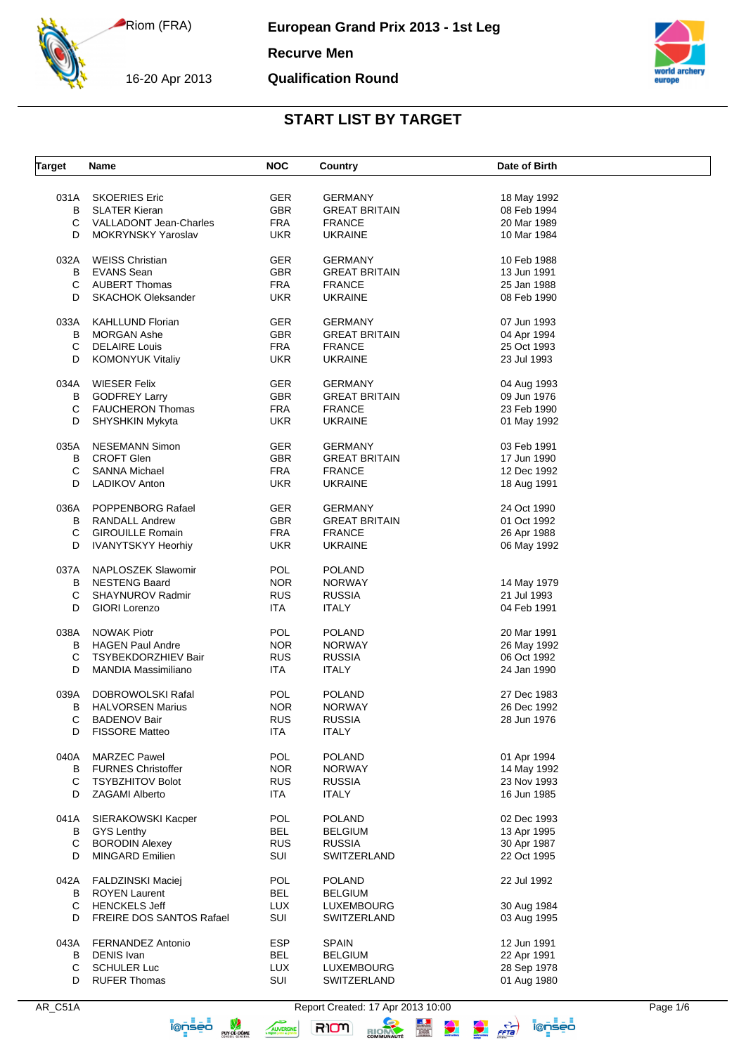16-20 Apr 2013

**European Grand Prix 2013 - 1st Leg**

#### **Recurve Men**

#### **Qualification Round**



# **START LIST BY TARGET**

| Target | Name                        | <b>NOC</b> | Country              | Date of Birth |
|--------|-----------------------------|------------|----------------------|---------------|
|        |                             |            |                      |               |
| 031A   | <b>SKOERIES Eric</b>        | <b>GER</b> | <b>GERMANY</b>       | 18 May 1992   |
| B      | <b>SLATER Kieran</b>        | <b>GBR</b> | <b>GREAT BRITAIN</b> | 08 Feb 1994   |
| С      | VALLADONT Jean-Charles      | <b>FRA</b> | <b>FRANCE</b>        | 20 Mar 1989   |
| D      | <b>MOKRYNSKY Yaroslav</b>   | <b>UKR</b> | <b>UKRAINE</b>       | 10 Mar 1984   |
|        |                             |            |                      |               |
| 032A   | <b>WEISS Christian</b>      | GER.       | <b>GERMANY</b>       | 10 Feb 1988   |
| B      | <b>EVANS</b> Sean           | <b>GBR</b> | <b>GREAT BRITAIN</b> | 13 Jun 1991   |
| C      | <b>AUBERT Thomas</b>        | <b>FRA</b> | <b>FRANCE</b>        | 25 Jan 1988   |
| D      | <b>SKACHOK Oleksander</b>   | <b>UKR</b> | <b>UKRAINE</b>       | 08 Feb 1990   |
|        |                             |            |                      |               |
| 033A   | <b>KAHLLUND Florian</b>     | <b>GER</b> | <b>GERMANY</b>       | 07 Jun 1993   |
| в      | <b>MORGAN Ashe</b>          | <b>GBR</b> | <b>GREAT BRITAIN</b> | 04 Apr 1994   |
| С      | <b>DELAIRE Louis</b>        | <b>FRA</b> | <b>FRANCE</b>        | 25 Oct 1993   |
| D      | <b>KOMONYUK Vitaliy</b>     | <b>UKR</b> | <b>UKRAINE</b>       | 23 Jul 1993   |
|        |                             |            |                      |               |
| 034A   | <b>WIESER Felix</b>         | <b>GER</b> | <b>GERMANY</b>       | 04 Aug 1993   |
| В      | <b>GODFREY Larry</b>        | GBR        | <b>GREAT BRITAIN</b> | 09 Jun 1976   |
| С      | <b>FAUCHERON Thomas</b>     | <b>FRA</b> | <b>FRANCE</b>        | 23 Feb 1990   |
| D      | SHYSHKIN Mykyta             | <b>UKR</b> | <b>UKRAINE</b>       | 01 May 1992   |
|        |                             |            |                      |               |
| 035A   | <b>NESEMANN Simon</b>       | <b>GER</b> | <b>GERMANY</b>       | 03 Feb 1991   |
| В      | <b>CROFT Glen</b>           | GBR        | <b>GREAT BRITAIN</b> | 17 Jun 1990   |
| С      | <b>SANNA Michael</b>        | <b>FRA</b> | <b>FRANCE</b>        | 12 Dec 1992   |
| D      | <b>LADIKOV Anton</b>        | <b>UKR</b> | <b>UKRAINE</b>       | 18 Aug 1991   |
|        |                             |            |                      |               |
|        | 036A POPPENBORG Rafael      | GER.       | <b>GERMANY</b>       | 24 Oct 1990   |
| В      | <b>RANDALL Andrew</b>       | <b>GBR</b> | <b>GREAT BRITAIN</b> | 01 Oct 1992   |
| С      | <b>GIROUILLE Romain</b>     | <b>FRA</b> | <b>FRANCE</b>        | 26 Apr 1988   |
| D      | IVANYTSKYY Heorhiy          | UKR.       | <b>UKRAINE</b>       | 06 May 1992   |
|        |                             |            |                      |               |
| 037A   | NAPLOSZEK Slawomir          | <b>POL</b> | <b>POLAND</b>        |               |
| В      | <b>NESTENG Baard</b>        | NOR.       | <b>NORWAY</b>        | 14 May 1979   |
| С      | SHAYNUROV Radmir            | <b>RUS</b> | <b>RUSSIA</b>        | 21 Jul 1993   |
| D      | GIORI Lorenzo               | ITA        | <b>ITALY</b>         | 04 Feb 1991   |
|        |                             |            |                      |               |
| 038A   | <b>NOWAK Piotr</b>          | <b>POL</b> | <b>POLAND</b>        | 20 Mar 1991   |
| в      | HAGEN Paul Andre            | <b>NOR</b> | <b>NORWAY</b>        | 26 May 1992   |
| С      | <b>TSYBEKDORZHIEV Bair</b>  | <b>RUS</b> | <b>RUSSIA</b>        | 06 Oct 1992   |
| D      | <b>MANDIA Massimiliano</b>  | ITA        | <b>ITALY</b>         | 24 Jan 1990   |
|        |                             |            |                      |               |
| 039A   | DOBROWOLSKI Rafal           | POL        | <b>POLAND</b>        | 27 Dec 1983   |
| в      | <b>HALVORSEN Marius</b>     | NOR.       | <b>NORWAY</b>        | 26 Dec 1992   |
| С      | <b>BADENOV Bair</b>         | <b>RUS</b> | <b>RUSSIA</b>        | 28 Jun 1976   |
| D      | <b>FISSORE Matteo</b>       | ITA        | <b>ITALY</b>         |               |
|        |                             |            |                      |               |
| 040A   | <b>MARZEC Pawel</b>         | POL        | <b>POLAND</b>        | 01 Apr 1994   |
|        | <b>B</b> FURNES Christoffer | <b>NOR</b> | <b>NORWAY</b>        | 14 May 1992   |
| С      | <b>TSYBZHITOV Bolot</b>     | <b>RUS</b> | <b>RUSSIA</b>        | 23 Nov 1993   |
| D      | <b>ZAGAMI Alberto</b>       | ITA        | <b>ITALY</b>         | 16 Jun 1985   |
|        |                             |            |                      |               |
| 041A   | SIERAKOWSKI Kacper          | <b>POL</b> | <b>POLAND</b>        | 02 Dec 1993   |
|        | <b>B</b> GYS Lenthy         | <b>BEL</b> | <b>BELGIUM</b>       | 13 Apr 1995   |
| С      | <b>BORODIN Alexey</b>       | <b>RUS</b> | <b>RUSSIA</b>        | 30 Apr 1987   |
| D      | <b>MINGARD Emilien</b>      | SUI        | SWITZERLAND          | 22 Oct 1995   |
|        |                             |            |                      |               |
| 042A   | <b>FALDZINSKI Maciej</b>    | <b>POL</b> | <b>POLAND</b>        | 22 Jul 1992   |
|        | <b>B</b> ROYEN Laurent      | BEL        | <b>BELGIUM</b>       |               |
| C      | <b>HENCKELS Jeff</b>        | <b>LUX</b> | LUXEMBOURG           | 30 Aug 1984   |
| D      | FREIRE DOS SANTOS Rafael    | SUI        | SWITZERLAND          | 03 Aug 1995   |
|        |                             |            |                      |               |
|        | 043A FERNANDEZ Antonio      | <b>ESP</b> | <b>SPAIN</b>         | 12 Jun 1991   |
| В      | <b>DENIS Ivan</b>           | <b>BEL</b> | <b>BELGIUM</b>       | 22 Apr 1991   |
| С      | <b>SCHULER Luc</b>          | <b>LUX</b> | LUXEMBOURG           | 28 Sep 1978   |
| D      | <b>RUFER Thomas</b>         | SUI        | SWITZERLAND          | 01 Aug 1980   |
|        |                             |            |                      |               |

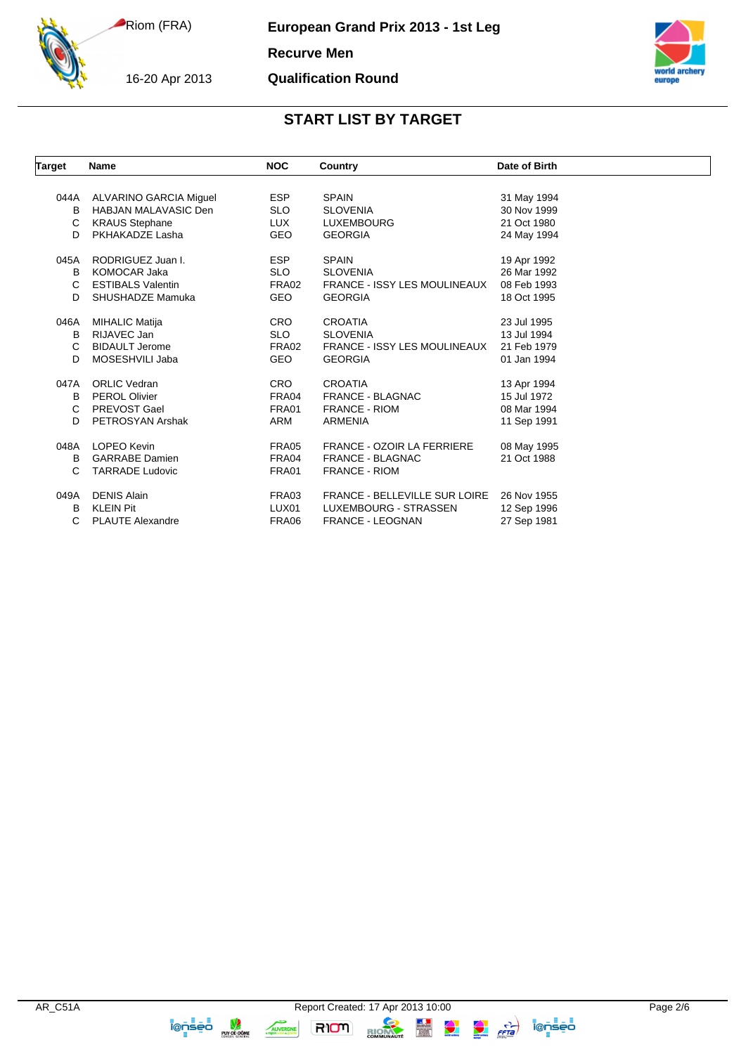16-20 Apr 2013

**European Grand Prix 2013 - 1st Leg**

**Recurve Men**

**Qualification Round**



### **START LIST BY TARGET**

| <b>Target</b> | <b>Name</b>                 | <b>NOC</b> | Country                              | Date of Birth |
|---------------|-----------------------------|------------|--------------------------------------|---------------|
|               |                             |            |                                      |               |
| 044A          | ALVARINO GARCIA Miguel      | <b>ESP</b> | <b>SPAIN</b>                         | 31 May 1994   |
| B             | <b>HABJAN MALAVASIC Den</b> | <b>SLO</b> | <b>SLOVENIA</b>                      | 30 Nov 1999   |
| C             | <b>KRAUS Stephane</b>       | <b>LUX</b> | <b>LUXEMBOURG</b>                    | 21 Oct 1980   |
| D             | PKHAKADZE Lasha             | <b>GEO</b> | <b>GEORGIA</b>                       | 24 May 1994   |
| 045A          | RODRIGUEZ Juan I.           | <b>ESP</b> | <b>SPAIN</b>                         | 19 Apr 1992   |
| в             | <b>KOMOCAR Jaka</b>         | <b>SLO</b> | <b>SLOVENIA</b>                      | 26 Mar 1992   |
| C             | <b>ESTIBALS Valentin</b>    | FRA02      | <b>FRANCE - ISSY LES MOULINEAUX</b>  | 08 Feb 1993   |
| D             | SHUSHADZE Mamuka            | <b>GEO</b> | <b>GEORGIA</b>                       | 18 Oct 1995   |
| 046A          | <b>MIHALIC Matija</b>       | <b>CRO</b> | <b>CROATIA</b>                       | 23 Jul 1995   |
| В             | RIJAVEC Jan                 | <b>SLO</b> | <b>SLOVENIA</b>                      | 13 Jul 1994   |
| C             | <b>BIDAULT Jerome</b>       | FRA02      | <b>FRANCE - ISSY LES MOULINEAUX</b>  | 21 Feb 1979   |
| D             | MOSESHVILI Jaba             | <b>GEO</b> | <b>GEORGIA</b>                       | 01 Jan 1994   |
| 047A          | <b>ORLIC Vedran</b>         | <b>CRO</b> | <b>CROATIA</b>                       | 13 Apr 1994   |
| B             | <b>PEROL Olivier</b>        | FRA04      | <b>FRANCE - BLAGNAC</b>              | 15 Jul 1972   |
| C             | PREVOST Gael                | FRA01      | <b>FRANCE - RIOM</b>                 | 08 Mar 1994   |
| D             | PETROSYAN Arshak            | ARM        |                                      |               |
|               |                             |            | <b>ARMENIA</b>                       | 11 Sep 1991   |
| 048A          | LOPEO Kevin                 | FRA05      | <b>FRANCE - OZOIR LA FERRIERE</b>    | 08 May 1995   |
| B             | <b>GARRABE</b> Damien       | FRA04      | <b>FRANCE - BLAGNAC</b>              | 21 Oct 1988   |
| C             | <b>TARRADE Ludovic</b>      | FRA01      | <b>FRANCE - RIOM</b>                 |               |
| 049A          | <b>DENIS Alain</b>          | FRA03      | <b>FRANCE - BELLEVILLE SUR LOIRE</b> | 26 Nov 1955   |
| B             | <b>KLEIN Pit</b>            | LUX01      | LUXEMBOURG - STRASSEN                | 12 Sep 1996   |
| С             | <b>PLAUTE Alexandre</b>     | FRA06      | <b>FRANCE - LEOGNAN</b>              | 27 Sep 1981   |

RION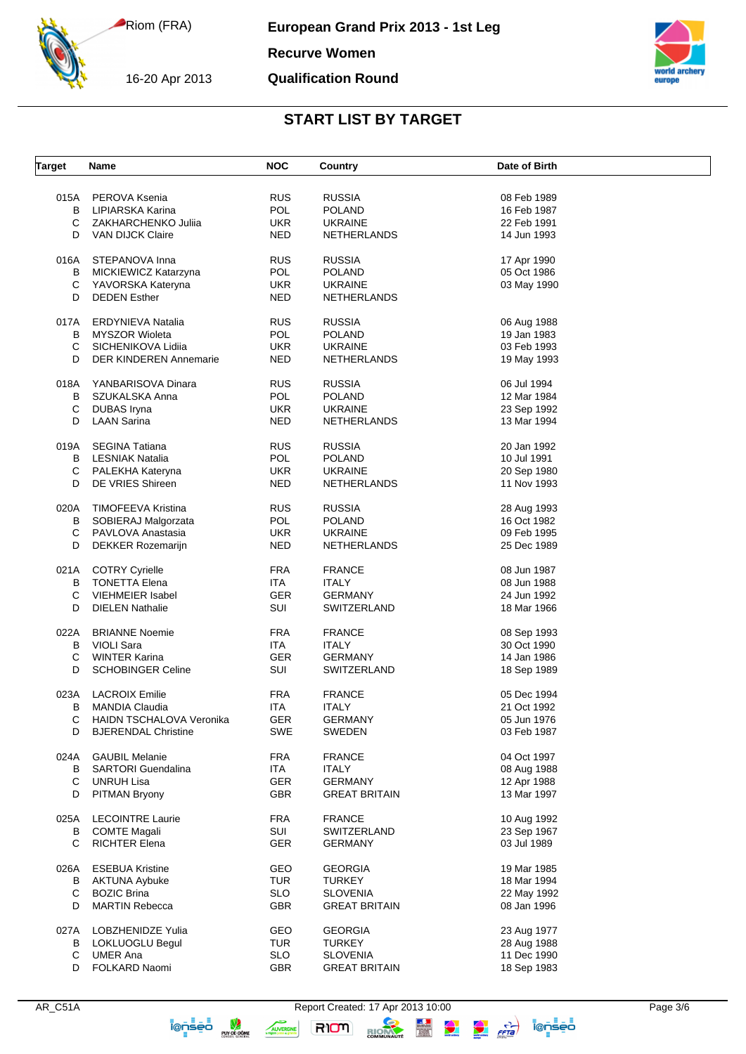16-20 Apr 2013

**European Grand Prix 2013 - 1st Leg**

**Recurve Women**

#### **Qualification Round**



# **START LIST BY TARGET**

| <b>Target</b> | Name                          | <b>NOC</b> | <b>Country</b>       | Date of Birth |
|---------------|-------------------------------|------------|----------------------|---------------|
|               | 015A PEROVA Ksenia            | <b>RUS</b> | <b>RUSSIA</b>        | 08 Feb 1989   |
| B             | LIPIARSKA Karina              | <b>POL</b> | <b>POLAND</b>        | 16 Feb 1987   |
| C             | ZAKHARCHENKO Juliia           | <b>UKR</b> | <b>UKRAINE</b>       | 22 Feb 1991   |
| D             | VAN DIJCK Claire              | <b>NED</b> | <b>NETHERLANDS</b>   | 14 Jun 1993   |
| 016A          | STEPANOVA Inna                | <b>RUS</b> | <b>RUSSIA</b>        | 17 Apr 1990   |
| В             | MICKIEWICZ Katarzyna          | POL        | <b>POLAND</b>        | 05 Oct 1986   |
| С             | YAVORSKA Kateryna             | <b>UKR</b> | <b>UKRAINE</b>       | 03 May 1990   |
| D             | <b>DEDEN</b> Esther           | <b>NED</b> | NETHERLANDS          |               |
| 017A          | ERDYNIEVA Natalia             | <b>RUS</b> | <b>RUSSIA</b>        | 06 Aug 1988   |
| B             | <b>MYSZOR Wioleta</b>         | POL        | <b>POLAND</b>        | 19 Jan 1983   |
| C             | SICHENIKOVA Lidiia            | <b>UKR</b> | <b>UKRAINE</b>       | 03 Feb 1993   |
| D             | <b>DER KINDEREN Annemarie</b> | <b>NED</b> | NETHERLANDS          | 19 May 1993   |
| 018A          | YANBARISOVA Dinara            | <b>RUS</b> | <b>RUSSIA</b>        | 06 Jul 1994   |
| B             | SZUKALSKA Anna                | POL        | <b>POLAND</b>        | 12 Mar 1984   |
| С             | DUBAS Iryna                   | <b>UKR</b> | <b>UKRAINE</b>       | 23 Sep 1992   |
| D             | <b>LAAN Sarina</b>            | <b>NED</b> | NETHERLANDS          | 13 Mar 1994   |
| 019A          | <b>SEGINA Tatiana</b>         | <b>RUS</b> | <b>RUSSIA</b>        | 20 Jan 1992   |
| B             | <b>LESNIAK Natalia</b>        | POL        | <b>POLAND</b>        | 10 Jul 1991   |
| С             | PALEKHA Kateryna              | <b>UKR</b> | <b>UKRAINE</b>       | 20 Sep 1980   |
| D             | DE VRIES Shireen              | <b>NED</b> | <b>NETHERLANDS</b>   | 11 Nov 1993   |
| 020A          | <b>TIMOFEEVA Kristina</b>     | <b>RUS</b> | <b>RUSSIA</b>        | 28 Aug 1993   |
| B             | SOBIERAJ Malgorzata           | <b>POL</b> | <b>POLAND</b>        | 16 Oct 1982   |
| С             | PAVLOVA Anastasia             | <b>UKR</b> | <b>UKRAINE</b>       | 09 Feb 1995   |
| D             | DEKKER Rozemarijn             | <b>NED</b> | NETHERLANDS          | 25 Dec 1989   |
|               | 021A COTRY Cyrielle           | <b>FRA</b> | <b>FRANCE</b>        | 08 Jun 1987   |
| B             | <b>TONETTA Elena</b>          | ITA        | <b>ITALY</b>         | 08 Jun 1988   |
| С             | <b>VIEHMEIER Isabel</b>       | <b>GER</b> | <b>GERMANY</b>       | 24 Jun 1992   |
| D             | <b>DIELEN Nathalie</b>        | SUI        | SWITZERLAND          | 18 Mar 1966   |
| 022A          | <b>BRIANNE Noemie</b>         | <b>FRA</b> | <b>FRANCE</b>        | 08 Sep 1993   |
| B             | <b>VIOLI Sara</b>             | <b>ITA</b> | <b>ITALY</b>         | 30 Oct 1990   |
| C             | <b>WINTER Karina</b>          | <b>GER</b> | <b>GERMANY</b>       | 14 Jan 1986   |
| D             | <b>SCHOBINGER Celine</b>      | SUI        | SWITZERLAND          | 18 Sep 1989   |
| 023A          | <b>LACROIX Emilie</b>         | <b>FRA</b> | <b>FRANCE</b>        | 05 Dec 1994   |
| В             | <b>MANDIA Claudia</b>         | <b>ITA</b> | <b>ITALY</b>         | 21 Oct 1992   |
| С             | HAIDN TSCHALOVA Veronika      | <b>GER</b> | <b>GERMANY</b>       | 05 Jun 1976   |
| D             | <b>BJERENDAL Christine</b>    | <b>SWE</b> | SWEDEN               | 03 Feb 1987   |
| 024A          | <b>GAUBIL Melanie</b>         | <b>FRA</b> | <b>FRANCE</b>        | 04 Oct 1997   |
| B             | <b>SARTORI</b> Guendalina     | ITA        | <b>ITALY</b>         | 08 Aug 1988   |
| С             | UNRUH Lisa                    | GER        | <b>GERMANY</b>       | 12 Apr 1988   |
| D             | PITMAN Bryony                 | <b>GBR</b> | <b>GREAT BRITAIN</b> | 13 Mar 1997   |
| 025A          | <b>LECOINTRE Laurie</b>       | <b>FRA</b> | <b>FRANCE</b>        | 10 Aug 1992   |
| В             | <b>COMTE Magali</b>           | SUI        | SWITZERLAND          | 23 Sep 1967   |
| C             | RICHTER Elena                 | GER        | <b>GERMANY</b>       | 03 Jul 1989   |
| 026A          | <b>ESEBUA Kristine</b>        | GEO        | <b>GEORGIA</b>       | 19 Mar 1985   |
| В             | <b>AKTUNA Aybuke</b>          | <b>TUR</b> | <b>TURKEY</b>        | 18 Mar 1994   |
| С             | <b>BOZIC Brina</b>            | <b>SLO</b> | <b>SLOVENIA</b>      | 22 May 1992   |
| D             | <b>MARTIN Rebecca</b>         | GBR        | <b>GREAT BRITAIN</b> | 08 Jan 1996   |
| 027A          | LOBZHENIDZE Yulia             | GEO        | <b>GEORGIA</b>       | 23 Aug 1977   |
| В             | LOKLUOGLU Begul               | <b>TUR</b> | <b>TURKEY</b>        | 28 Aug 1988   |
| C             | UMER Ana                      | <b>SLO</b> | <b>SLOVENIA</b>      | 11 Dec 1990   |
| D             | FOLKARD Naomi                 | <b>GBR</b> | <b>GREAT BRITAIN</b> | 18 Sep 1983   |
|               |                               |            |                      |               |

RION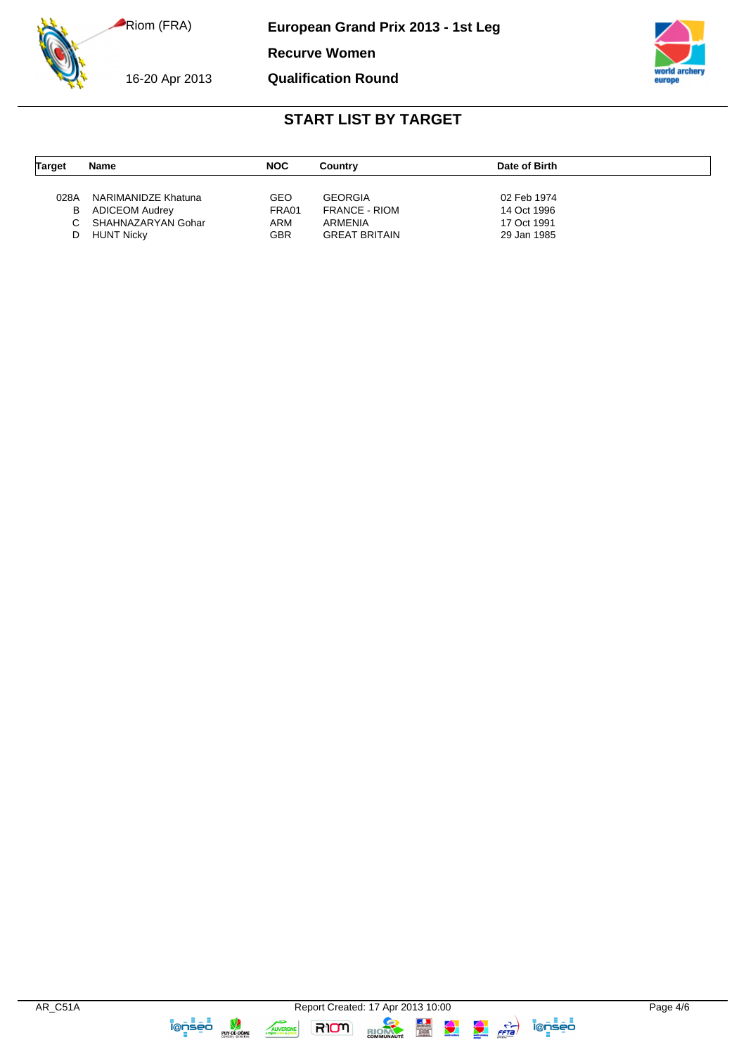**European Grand Prix 2013 - 1st Leg**

**Recurve Women**

16-20 Apr 2013

**Qualification Round**



# **START LIST BY TARGET**

| <b>Target</b> | Name                | <b>NOC</b> | Country              | Date of Birth |
|---------------|---------------------|------------|----------------------|---------------|
|               |                     |            |                      |               |
| 028A          | NARIMANIDZE Khatuna | GEO        | <b>GEORGIA</b>       | 02 Feb 1974   |
| В             | ADICEOM Audrey      | FRA01      | <b>FRANCE - RIOM</b> | 14 Oct 1996   |
|               | SHAHNAZARYAN Gohar  | ARM        | ARMENIA              | 17 Oct 1991   |
|               | HUNT Nicky          | GBR        | <b>GREAT BRITAIN</b> | 29 Jan 1985   |

RIOM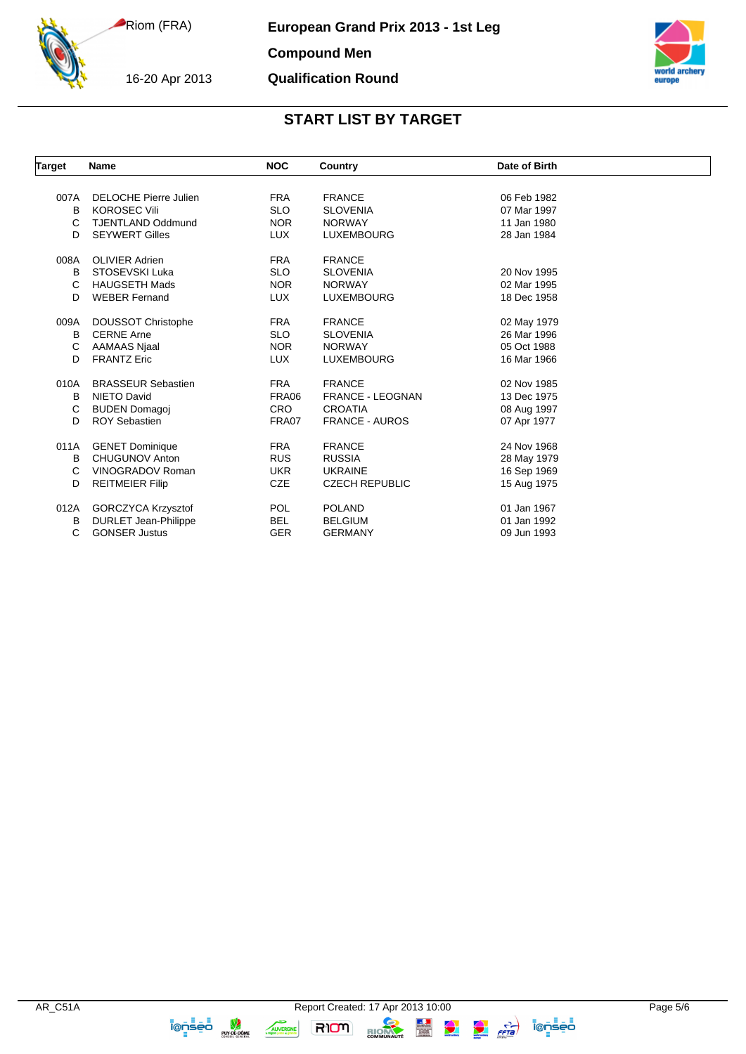16-20 Apr 2013

**European Grand Prix 2013 - 1st Leg**

**Compound Men**

#### **Qualification Round**



# **START LIST BY TARGET**

| <b>Target</b> | <b>Name</b>                  | <b>NOC</b> | Country                 | Date of Birth |  |
|---------------|------------------------------|------------|-------------------------|---------------|--|
|               |                              |            |                         |               |  |
| 007A          | <b>DELOCHE Pierre Julien</b> | <b>FRA</b> | <b>FRANCE</b>           | 06 Feb 1982   |  |
| B             | <b>KOROSEC Vili</b>          | <b>SLO</b> | <b>SLOVENIA</b>         | 07 Mar 1997   |  |
| C             | <b>TJENTLAND Oddmund</b>     | <b>NOR</b> | <b>NORWAY</b>           | 11 Jan 1980   |  |
| D             | <b>SEYWERT Gilles</b>        | <b>LUX</b> | <b>LUXEMBOURG</b>       | 28 Jan 1984   |  |
| 008A          | <b>OLIVIER Adrien</b>        | <b>FRA</b> | <b>FRANCE</b>           |               |  |
| B             | STOSEVSKI Luka               | <b>SLO</b> | <b>SLOVENIA</b>         | 20 Nov 1995   |  |
| C             | <b>HAUGSETH Mads</b>         | <b>NOR</b> | <b>NORWAY</b>           | 02 Mar 1995   |  |
| D             | <b>WEBER Fernand</b>         | <b>LUX</b> | <b>LUXEMBOURG</b>       | 18 Dec 1958   |  |
| 009A          | DOUSSOT Christophe           | <b>FRA</b> | <b>FRANCE</b>           | 02 May 1979   |  |
| B             | <b>CERNE Arne</b>            | <b>SLO</b> | <b>SLOVENIA</b>         | 26 Mar 1996   |  |
| C             | AAMAAS Njaal                 | <b>NOR</b> | <b>NORWAY</b>           | 05 Oct 1988   |  |
| D             | <b>FRANTZ Eric</b>           | <b>LUX</b> | <b>LUXEMBOURG</b>       | 16 Mar 1966   |  |
| 010A          | <b>BRASSEUR Sebastien</b>    | <b>FRA</b> | <b>FRANCE</b>           | 02 Nov 1985   |  |
| B             | <b>NIETO David</b>           | FRA06      | <b>FRANCE - LEOGNAN</b> | 13 Dec 1975   |  |
| C             | <b>BUDEN Domagoj</b>         | <b>CRO</b> | <b>CROATIA</b>          | 08 Aug 1997   |  |
| D             | <b>ROY Sebastien</b>         | FRA07      | <b>FRANCE - AUROS</b>   | 07 Apr 1977   |  |
| 011A          | <b>GENET Dominique</b>       | <b>FRA</b> | <b>FRANCE</b>           | 24 Nov 1968   |  |
| B             | <b>CHUGUNOV Anton</b>        | <b>RUS</b> | <b>RUSSIA</b>           | 28 May 1979   |  |
| C             | <b>VINOGRADOV Roman</b>      | <b>UKR</b> | <b>UKRAINE</b>          | 16 Sep 1969   |  |
| D             | <b>REITMEIER Filip</b>       | <b>CZE</b> | <b>CZECH REPUBLIC</b>   | 15 Aug 1975   |  |
|               |                              |            |                         |               |  |
| 012A          | GORCZYCA Krzysztof           | <b>POL</b> | <b>POLAND</b>           | 01 Jan 1967   |  |
| В             | <b>DURLET Jean-Philippe</b>  | <b>BEL</b> | <b>BELGIUM</b>          | 01 Jan 1992   |  |
| C             | <b>GONSER Justus</b>         | <b>GER</b> | <b>GERMANY</b>          | 09 Jun 1993   |  |

**TOD SED SURFACE DOME** 

**RIOM** 

RIOM

AUVERGNE

 $\frac{1}{\sqrt{2}}$